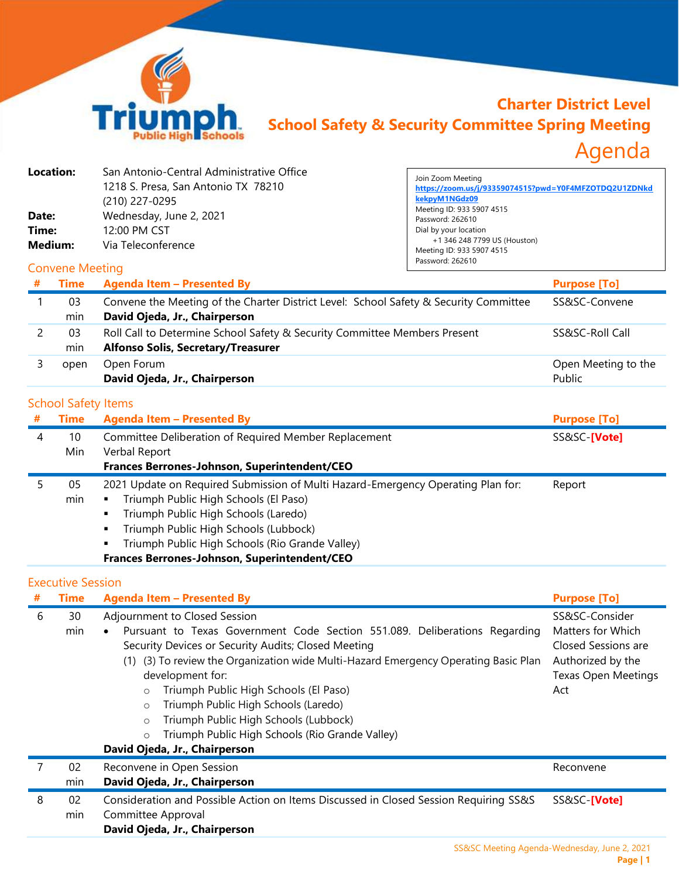

## **Charter District Level School Safety & Security Committee Spring Meeting** Agenda

| <b>Location:</b><br>Date:<br>Time:<br><b>Medium:</b> |                                           | San Antonio-Central Administrative Office<br>1218 S. Presa, San Antonio TX 78210<br>(210) 227-0295<br>Wednesday, June 2, 2021<br>12:00 PM CST<br>Via Teleconference                                                                                                                                                                                                                                                                                                                                                                     | Join Zoom Meeting<br>https://zoom.us/j/93359074515?pwd=Y0F4MFZOTDQ2U1ZDNkd<br>kekpyM1NGdz09<br>Meeting ID: 933 5907 4515<br>Password: 262610<br>Dial by your location<br>+1 346 248 7799 US (Houston)<br>Meeting ID: 933 5907 4515<br>Password: 262610 |                                                                                                                      |
|------------------------------------------------------|-------------------------------------------|-----------------------------------------------------------------------------------------------------------------------------------------------------------------------------------------------------------------------------------------------------------------------------------------------------------------------------------------------------------------------------------------------------------------------------------------------------------------------------------------------------------------------------------------|--------------------------------------------------------------------------------------------------------------------------------------------------------------------------------------------------------------------------------------------------------|----------------------------------------------------------------------------------------------------------------------|
| <b>Convene Meeting</b>                               |                                           |                                                                                                                                                                                                                                                                                                                                                                                                                                                                                                                                         |                                                                                                                                                                                                                                                        |                                                                                                                      |
|                                                      | <b>Time</b>                               | <b>Agenda Item - Presented By</b>                                                                                                                                                                                                                                                                                                                                                                                                                                                                                                       |                                                                                                                                                                                                                                                        | <b>Purpose [To]</b>                                                                                                  |
| $\mathbf{1}$                                         | 03<br>min                                 | Convene the Meeting of the Charter District Level: School Safety & Security Committee<br>David Ojeda, Jr., Chairperson                                                                                                                                                                                                                                                                                                                                                                                                                  |                                                                                                                                                                                                                                                        | SS&SC-Convene                                                                                                        |
| 2                                                    | 03<br>min                                 | Roll Call to Determine School Safety & Security Committee Members Present<br><b>Alfonso Solis, Secretary/Treasurer</b>                                                                                                                                                                                                                                                                                                                                                                                                                  |                                                                                                                                                                                                                                                        | SS&SC-Roll Call                                                                                                      |
| 3                                                    | open                                      | Open Forum<br>David Ojeda, Jr., Chairperson                                                                                                                                                                                                                                                                                                                                                                                                                                                                                             | Open Meeting to the<br>Public                                                                                                                                                                                                                          |                                                                                                                      |
| #                                                    | <b>School Safety Items</b><br><b>Time</b> | <b>Agenda Item - Presented By</b>                                                                                                                                                                                                                                                                                                                                                                                                                                                                                                       |                                                                                                                                                                                                                                                        | <b>Purpose [To]</b>                                                                                                  |
| 4                                                    | 10<br>Min                                 | Committee Deliberation of Required Member Replacement<br>Verbal Report<br>Frances Berrones-Johnson, Superintendent/CEO                                                                                                                                                                                                                                                                                                                                                                                                                  |                                                                                                                                                                                                                                                        | SS&SC-[Vote]                                                                                                         |
| 5                                                    | 05<br>min                                 | 2021 Update on Required Submission of Multi Hazard-Emergency Operating Plan for:<br>Triumph Public High Schools (El Paso)<br>٠<br>Triumph Public High Schools (Laredo)<br>٠<br>Triumph Public High Schools (Lubbock)<br>٠<br>Triumph Public High Schools (Rio Grande Valley)<br>Frances Berrones-Johnson, Superintendent/CEO                                                                                                                                                                                                            | Report                                                                                                                                                                                                                                                 |                                                                                                                      |
|                                                      | <b>Executive Session</b>                  |                                                                                                                                                                                                                                                                                                                                                                                                                                                                                                                                         |                                                                                                                                                                                                                                                        |                                                                                                                      |
|                                                      | <b>Time</b>                               | <b>Agenda Item - Presented By</b>                                                                                                                                                                                                                                                                                                                                                                                                                                                                                                       |                                                                                                                                                                                                                                                        | <b>Purpose [To]</b>                                                                                                  |
| 6                                                    | 30<br>min                                 | Adjournment to Closed Session<br>Pursuant to Texas Government Code Section 551.089. Deliberations Regarding<br>Security Devices or Security Audits; Closed Meeting<br>(1) (3) To review the Organization wide Multi-Hazard Emergency Operating Basic Plan<br>development for:<br>Triumph Public High Schools (El Paso)<br>$\circ$<br>Triumph Public High Schools (Laredo)<br>$\circ$<br>Triumph Public High Schools (Lubbock)<br>$\circ$<br>Triumph Public High Schools (Rio Grande Valley)<br>$\circ$<br>David Ojeda, Jr., Chairperson |                                                                                                                                                                                                                                                        | SS&SC-Consider<br>Matters for Which<br>Closed Sessions are<br>Authorized by the<br><b>Texas Open Meetings</b><br>Act |
| 7                                                    | 02                                        | Reconvene in Open Session                                                                                                                                                                                                                                                                                                                                                                                                                                                                                                               |                                                                                                                                                                                                                                                        | Reconvene                                                                                                            |
| 8                                                    | min<br>02<br>min                          | David Ojeda, Jr., Chairperson<br>Consideration and Possible Action on Items Discussed in Closed Session Requiring SS&S<br>SS&SC-[Vote]<br>Committee Approval<br>David Ojeda, Jr., Chairperson                                                                                                                                                                                                                                                                                                                                           |                                                                                                                                                                                                                                                        |                                                                                                                      |